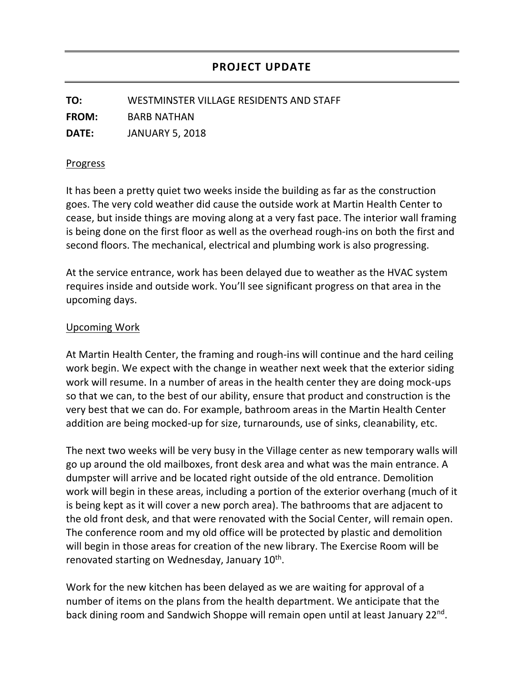**TO:** WESTMINSTER VILLAGE RESIDENTS AND STAFF **FROM:** BARB NATHAN **DATE:** JANUARY 5, 2018

## Progress

It has been a pretty quiet two weeks inside the building as far as the construction goes. The very cold weather did cause the outside work at Martin Health Center to cease, but inside things are moving along at a very fast pace. The interior wall framing is being done on the first floor as well as the overhead rough-ins on both the first and second floors. The mechanical, electrical and plumbing work is also progressing.

At the service entrance, work has been delayed due to weather as the HVAC system requires inside and outside work. You'll see significant progress on that area in the upcoming days.

## Upcoming Work

At Martin Health Center, the framing and rough-ins will continue and the hard ceiling work begin. We expect with the change in weather next week that the exterior siding work will resume. In a number of areas in the health center they are doing mock-ups so that we can, to the best of our ability, ensure that product and construction is the very best that we can do. For example, bathroom areas in the Martin Health Center addition are being mocked-up for size, turnarounds, use of sinks, cleanability, etc.

The next two weeks will be very busy in the Village center as new temporary walls will go up around the old mailboxes, front desk area and what was the main entrance. A dumpster will arrive and be located right outside of the old entrance. Demolition work will begin in these areas, including a portion of the exterior overhang (much of it is being kept as it will cover a new porch area). The bathrooms that are adjacent to the old front desk, and that were renovated with the Social Center, will remain open. The conference room and my old office will be protected by plastic and demolition will begin in those areas for creation of the new library. The Exercise Room will be renovated starting on Wednesday, January 10<sup>th</sup>.

Work for the new kitchen has been delayed as we are waiting for approval of a number of items on the plans from the health department. We anticipate that the back dining room and Sandwich Shoppe will remain open until at least January 22<sup>nd</sup>.